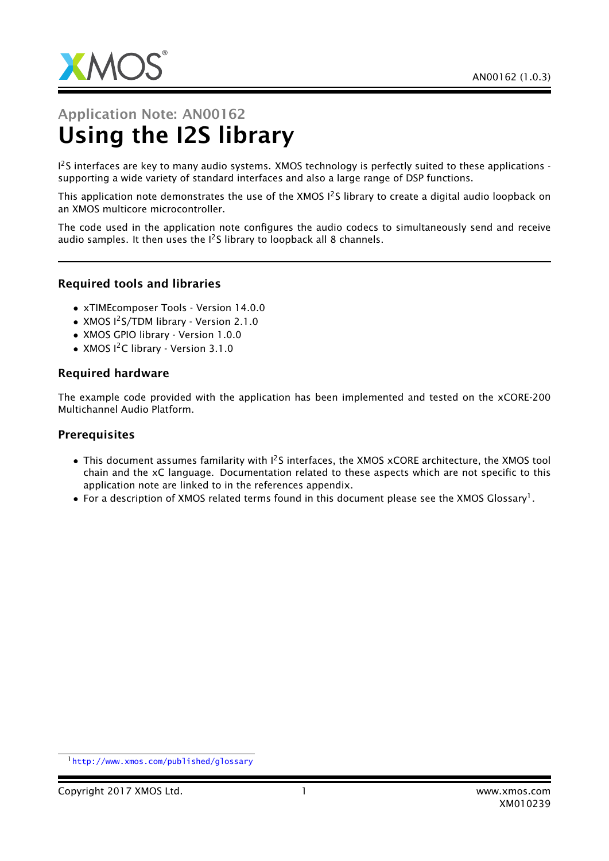

# Application Note: AN00162 Using the I2S library

<sup>12</sup>S interfaces are key to many audio systems. XMOS technology is perfectly suited to these applications supporting a wide variety of standard interfaces and also a large range of DSP functions.

This application note demonstrates the use of the XMOS I<sup>2</sup>S library to create a digital audio loopback on an XMOS multicore microcontroller.

The code used in the application note configures the audio codecs to simultaneously send and receive audio samples. It then uses the  $1^2$ S library to loopback all 8 channels.

#### Required tools and libraries

- xTIMEcomposer Tools Version 14.0.0
- XMOS I<sup>2</sup>S/TDM library Version 2.1.0
- XMOS GPIO library Version 1.0.0
- XMOS I<sup>2</sup>C library Version 3.1.0

#### Required hardware

The example code provided with the application has been implemented and tested on the xCORE-200 Multichannel Audio Platform.

#### **Prerequisites**

- This document assumes familarity with  $1^2S$  interfaces, the XMOS xCORE architecture, the XMOS tool chain and the xC language. Documentation related to these aspects which are not specific to this application note are linked to in the references appendix.
- $\bullet$  For a description of XMOS related terms found in this document please see the XMOS Glossary<sup>1</sup>.

<sup>1</sup><http://www.xmos.com/published/glossary>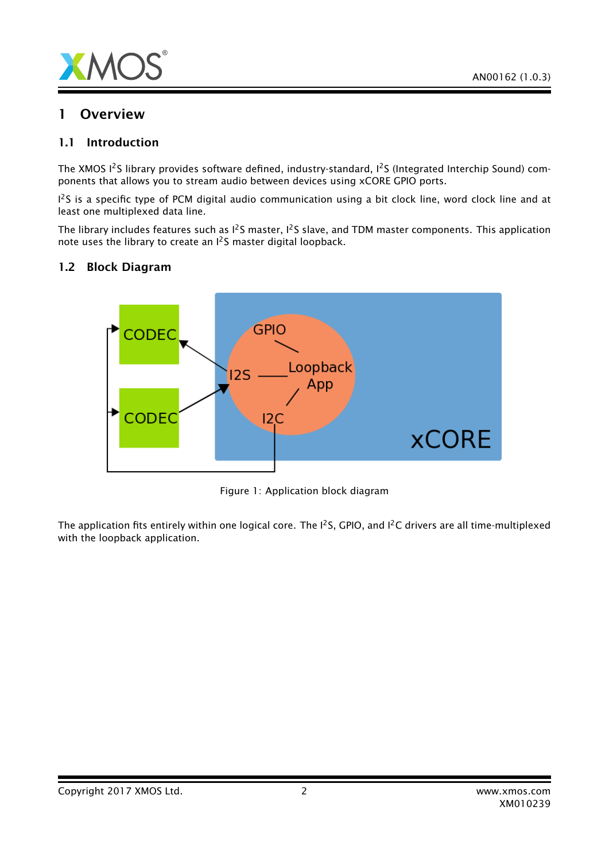

## 1 Overview

#### 1.1 Introduction

The XMOS I<sup>2</sup>S library provides software defined, industry-standard, I<sup>2</sup>S (Integrated Interchip Sound) components that allows you to stream audio between devices using xCORE GPIO ports.

<sup>12</sup>S is a specific type of PCM digital audio communication using a bit clock line, word clock line and at least one multiplexed data line.

The library includes features such as  $1^2$ S master,  $1^2$ S slave, and TDM master components. This application note uses the library to create an I2S master digital loopback.

#### 1.2 Block Diagram



Figure 1: Application block diagram

The application fits entirely within one logical core. The I<sup>2</sup>S, GPIO, and I<sup>2</sup>C drivers are all time-multiplexed with the loopback application.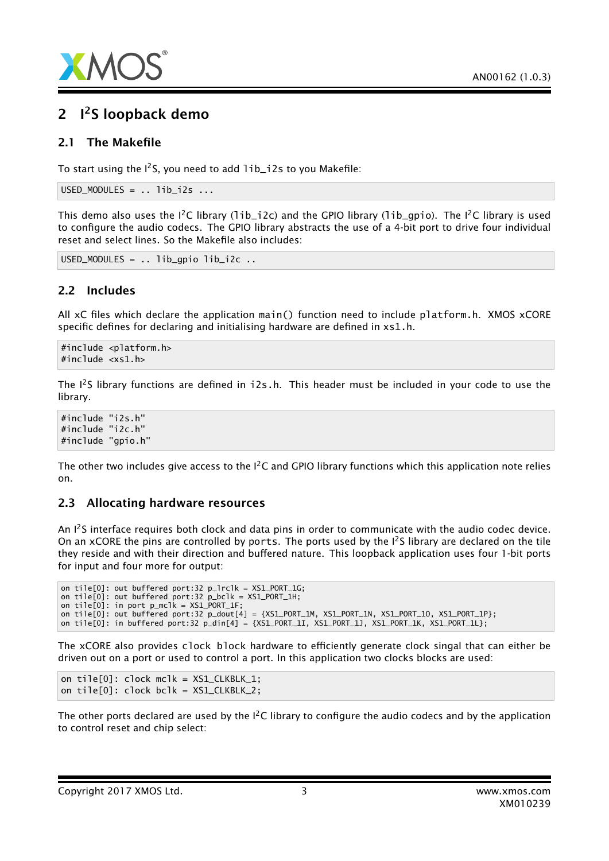

# 2 <sup>12</sup>S loopback demo

#### 2.1 The Makefile

To start using the  $I^2S$ , you need to add  $I$ ib\_i2s to you Makefile:

```
USED_MODULES = . . 1ib_12s ...
```
This demo also uses the  $I^2C$  library (1ib\_i2c) and the GPIO library (1ib\_gpio). The  $I^2C$  library is used to configure the audio codecs. The GPIO library abstracts the use of a 4-bit port to drive four individual reset and select lines. So the Makefile also includes:

USED\_MODULES = .. lib\_gpio lib\_i2c ..

## 2.2 Includes

All xC files which declare the application main() function need to include platform.h. XMOS xCORE specific defines for declaring and initialising hardware are defined in xs1.h.

#include <platform.h> #include <xs1.h>

The  $I^2S$  library functions are defined in  $i2s.h$ . This header must be included in your code to use the library.

#include "i2s.h" #include "i2c.h" #include "gpio.h"

The other two includes give access to the  $I^2C$  and GPIO library functions which this application note relies on.

#### 2.3 Allocating hardware resources

An <sup>12</sup>S interface requires both clock and data pins in order to communicate with the audio codec device. On an xCORE the pins are controlled by ports. The ports used by the I<sup>2</sup>S library are declared on the tile they reside and with their direction and buffered nature. This loopback application uses four 1-bit ports for input and four more for output:

on tile[0]: out buffered port:32 p\_lrclk = XS1\_PORT\_1G; on tile[0]: out buffered port:32 p\_bclk = XS1\_PORT\_1H; on tile[0]: in port p\_mclk = XS1\_PORT\_1F; on tile[0]: out buffered port:32 p\_dout[4] = {XS1\_PORT\_1M, XS1\_PORT\_1N, XS1\_PORT\_1O, XS1\_PORT\_1P}; on tile[0]: in buffered port:32 p\_din[4] = {XS1\_PORT\_1I, XS1\_PORT\_1J, XS1\_PORT\_1K, XS1\_PORT\_1L};

The xCORE also provides clock block hardware to efficiently generate clock singal that can either be driven out on a port or used to control a port. In this application two clocks blocks are used:

on tile[0]: clock mclk = XS1\_CLKBLK\_1; on tile[0]: clock bclk = XS1\_CLKBLK\_2;

The other ports declared are used by the  $I^2C$  library to configure the audio codecs and by the application to control reset and chip select: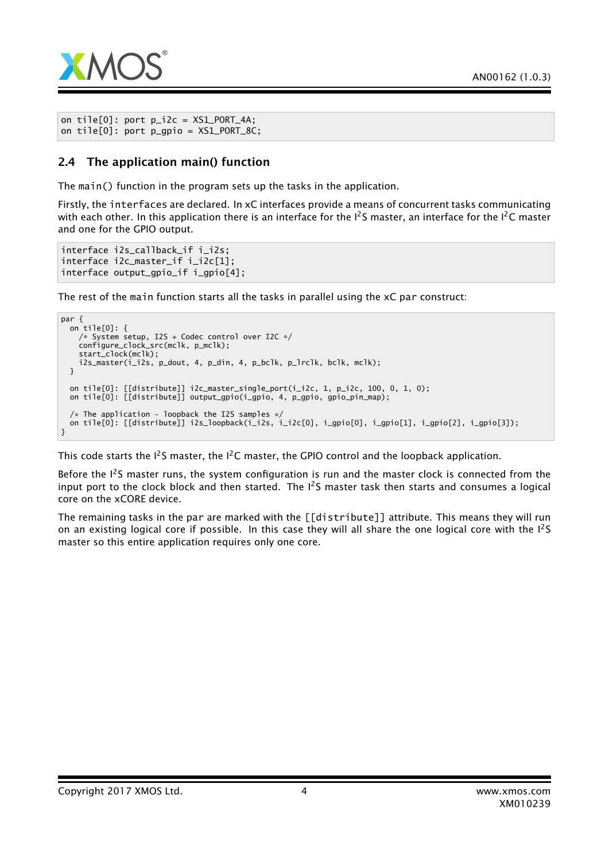

```
on tile[0]: port p_i/2c = XS1_PORT_4A;
on tile[0]: port p\_gpio = XSL_PORT_SC;
```
### 2.4 The application main() function

The main() function in the program sets up the tasks in the application.

Firstly, the interfaces are declared. In xC interfaces provide a means of concurrent tasks communicating with each other. In this application there is an interface for the  $I^2S$  master, an interface for the  $I^2C$  master and one for the GPIO output.

```
interface i2s_callback_if i_i2s;
interface i2c_master_if i_i2c[1];
interface output_gpio_if i_gpio[4];
```
The rest of the main function starts all the tasks in parallel using the xC par construct:

```
par {
 on tile[0]: {
    /* System setup, I2S + Codec control over I2C */
    configure_clock_src(mclk, p_mclk);
    start_clock(mclk);
    i2s_master(i_i2s, p_dout, 4, p_din, 4, p_bclk, p_lrclk, bclk, mclk);
 }
 on tile[0]: [[distribute]] i2c_master_single_port(i_i2c, 1, p_i2c, 100, 0, 1, 0);
 on tile[0]: [[distribute]] output_gpio(i_gpio, 4, p_gpio, gpio_pin_map);
  /* The application - loopback the I2S samples */on tile[0]: [[distribute]] i2s_loopback(i_i2s, i_i2c[0], i_gpio[0], i_gpio[1], i_gpio[2], i_gpio[3]);
}
```
This code starts the  $I^2S$  master, the  $I^2C$  master, the GPIO control and the loopback application.

Before the  $I^2$ S master runs, the system configuration is run and the master clock is connected from the input port to the clock block and then started. The  $1^2S$  master task then starts and consumes a logical core on the xCORE device.

The remaining tasks in the par are marked with the [[distribute]] attribute. This means they will run on an existing logical core if possible. In this case they will all share the one logical core with the  $I^2S$ master so this entire application requires only one core.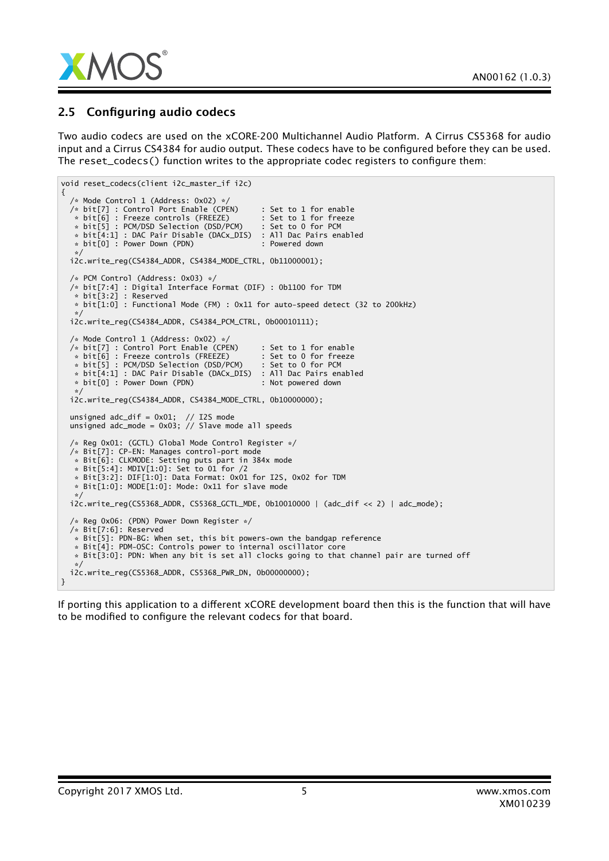

### 2.5 Configuring audio codecs

Two audio codecs are used on the xCORE-200 Multichannel Audio Platform. A Cirrus CS5368 for audio input and a Cirrus CS4384 for audio output. These codecs have to be configured before they can be used. The reset  $\c{codeccs}()$  function writes to the appropriate codec registers to configure them:

```
void reset_codecs(client i2c_master_if i2c)
{
  /* Mode Control 1 (Address: 0x02) */
 /* bit[7] : Control Port Enable (CPEN) : Set to 1 for enable
  * bit[6] : Freeze controls (FREEZE) : Set to 1 for freeze
   * bit[5] : PCM/DSD Selection (DSD/PCM)
   * bit\overline{[4:1]} : DAC Pair Disable (DACx_DIS) : All Dac Pairs enabled<br>* bit[0] : Power Down (PDN) : Powered down
  * bit[0] : Power Down (PDN)
  */
i2c.write_reg(CS4384_ADDR, CS4384_MODE_CTRL, 0b11000001);
  /* PCM Control (Address: 0x03) */
  /* bit[7:4] : Digital Interface Format (DIF) : 0b1100 for TDM
   * bit[3:2] : Reserved
  * bit[1:0] : Functional Mode (FM) : 0x11 for auto-speed detect (32 to 200kHz)
   */
 i2c.write_reg(CS4384_ADDR, CS4384_PCM_CTRL, 0b00010111);
  /* Mode Control 1 (Address: 0x02) */
 /* bit[7] : Control Port Enable (CPEN) : Set to 1 for enable
   * bit[6] : Freeze controls (FREEZE) : Set to 0 for freeze
   * bit[5] : PCM/DSD Selection (DSD/PCM) : Set to 0 for PCM
   * bit[4:1] : DAC Pair Disable (DACx_DIS) : All Dac Pairs enabled
  * bit[0] : Power Down (PDN) : Not powered down
  */
i2c.write_reg(CS4384_ADDR, CS4384_MODE_CTRL, 0b10000000);
 unsigned adc\_dif = 0x01; // I2S mode
 unsigned adc_mode = 0x03; // Slave mode all speeds
  /* Reg 0x01: (GCTL) Global Mode Control Register */
 /* Bit[7]: CP-EN: Manages control-port mode
   * Bit[6]: CLKMODE: Setting puts part in 384x mode
   * Bit[5:4]: MDIV[1:0]: Set to 01 for /2
  * Bit[3:2]: DIF[1:0]: Data Format: 0x01 for I2S, 0x02 for TDM
  * Bit[1:0]: MODE[1:0]: Mode: 0x11 for slave mode
   */
 i2c.write_reg(CS5368_ADDR, CS5368_GCTL_MDE, 0b10010000 | (adc_dif << 2) | adc_mode);
  /* Reg 0x06: (PDN) Power Down Register */
 /* Bit[7:6]: Reserved
  * Bit[5]: PDN-BG: When set, this bit powers-own the bandgap reference
  * Bit[4]: PDM-OSC: Controls power to internal oscillator core
  * Bit[3:0]: PDN: When any bit is set all clocks going to that channel pair are turned off
  */
i2c.write_reg(CS5368_ADDR, CS5368_PWR_DN, 0b00000000);
}
```
If porting this application to a different xCORE development board then this is the function that will have to be modified to configure the relevant codecs for that board.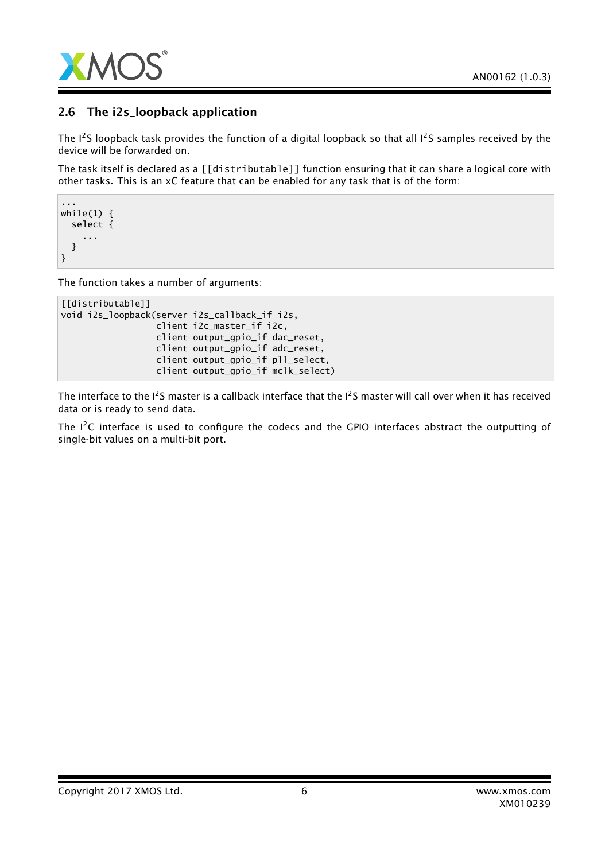

## 2.6 The i2s\_loopback application

The  $1^2$ S loopback task provides the function of a digital loopback so that all  $1^2$ S samples received by the device will be forwarded on.

The task itself is declared as a [[distributable]] function ensuring that it can share a logical core with other tasks. This is an xC feature that can be enabled for any task that is of the form:

```
...
while(1) {
  select {
     ...
  }
}
```
The function takes a number of arguments:

```
[[distributable]]
void i2s_loopback(server i2s_callback_if i2s,
                  client i2c_master_if i2c,
                  client output_gpio_if dac_reset,
                  client output_gpio_if adc_reset,
                  client output_gpio_if pll_select,
                  client output_gpio_if mclk_select)
```
The interface to the  $I^2$ S master is a callback interface that the  $I^2$ S master will call over when it has received data or is ready to send data.

The I<sup>2</sup>C interface is used to configure the codecs and the GPIO interfaces abstract the outputting of single-bit values on a multi-bit port.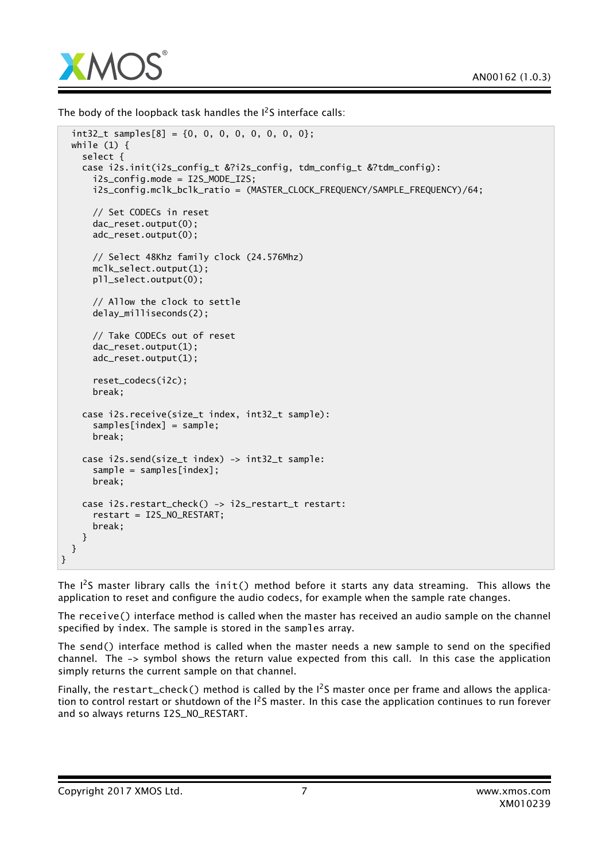

The body of the loopback task handles the  $I^2S$  interface calls:

```
int32_t samples[8] = {0, 0, 0, 0, 0, 0, 0, 0};
 while (1) {
    select {
    case i2s.init(i2s_config_t &?i2s_config, tdm_config_t &?tdm_config):
      i2s_config.mode = I2S_MODE_I2S;
      i2s_config.mclk_bclk_ratio = (MASTER_CLOCK_FREQUENCY/SAMPLE_FREQUENCY)/64;
      // Set CODECs in reset
      dac_reset.output(0);
      adc_reset.output(0);
      // Select 48Khz family clock (24.576Mhz)
     mclk_select.output(1);
     pll_select.output(0);
      // Allow the clock to settle
     delay_milliseconds(2);
      // Take CODECs out of reset
      dac_reset.output(1);
      adc_reset.output(1);
      reset_codecs(i2c);
     break;
    case i2s.receive(size_t index, int32_t sample):
      samples[index] = sample;
     break;
    case i2s.send(size_t index) -> int32_t sample:
      sample = samples[index];
      break;
    case i2s.restart_check() -> i2s_restart_t restart:
      restart = I2S_NO_RESTART;
      break;
   }
 }
}
```
The  $I^2S$  master library calls the init() method before it starts any data streaming. This allows the application to reset and configure the audio codecs, for example when the sample rate changes.

The receive() interface method is called when the master has received an audio sample on the channel specified by index. The sample is stored in the samples array.

The send() interface method is called when the master needs a new sample to send on the specified channel. The -> symbol shows the return value expected from this call. In this case the application simply returns the current sample on that channel.

Finally, the restart\_check() method is called by the  $I^2S$  master once per frame and allows the application to control restart or shutdown of the I<sup>2</sup>S master. In this case the application continues to run forever and so always returns I2S\_NO\_RESTART.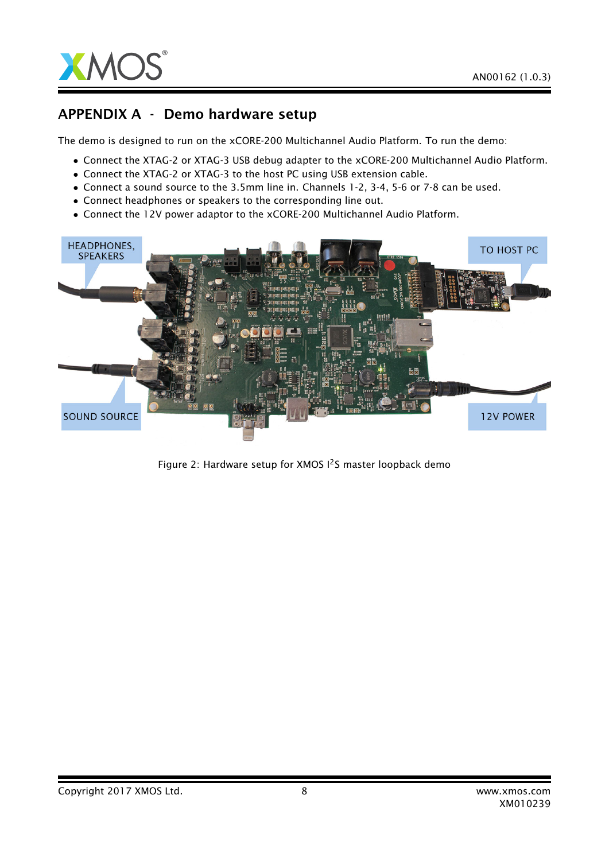



## APPENDIX A - Demo hardware setup

The demo is designed to run on the xCORE-200 Multichannel Audio Platform. To run the demo:

- Connect the XTAG-2 or XTAG-3 USB debug adapter to the xCORE-200 Multichannel Audio Platform.
- Connect the XTAG-2 or XTAG-3 to the host PC using USB extension cable.
- Connect a sound source to the 3.5mm line in. Channels 1-2, 3-4, 5-6 or 7-8 can be used.
- Connect headphones or speakers to the corresponding line out.
- Connect the 12V power adaptor to the xCORE-200 Multichannel Audio Platform.



Figure 2: Hardware setup for XMOS  $1^2$ S master loopback demo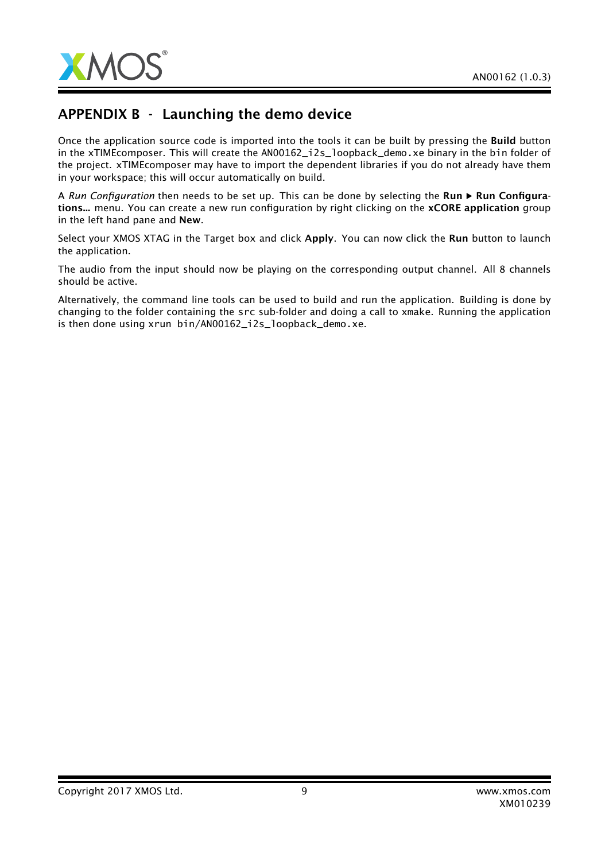

# APPENDIX B - Launching the demo device

Once the application source code is imported into the tools it can be built by pressing the Build button in the xTIMEcomposer. This will create the AN00162\_i2s\_loopback\_demo.xe binary in the bin folder of the project. xTIMEcomposer may have to import the dependent libraries if you do not already have them in your workspace; this will occur automatically on build.

A *Run Configuration* then needs to be set up. This can be done by selecting the Run > Run Configurations... menu. You can create a new run configuration by right clicking on the **xCORE application** group in the left hand pane and New.

Select your XMOS XTAG in the Target box and click Apply. You can now click the Run button to launch the application.

The audio from the input should now be playing on the corresponding output channel. All 8 channels should be active.

Alternatively, the command line tools can be used to build and run the application. Building is done by changing to the folder containing the src sub-folder and doing a call to xmake. Running the application is then done using xrun bin/AN00162 i2s loopback demo.xe.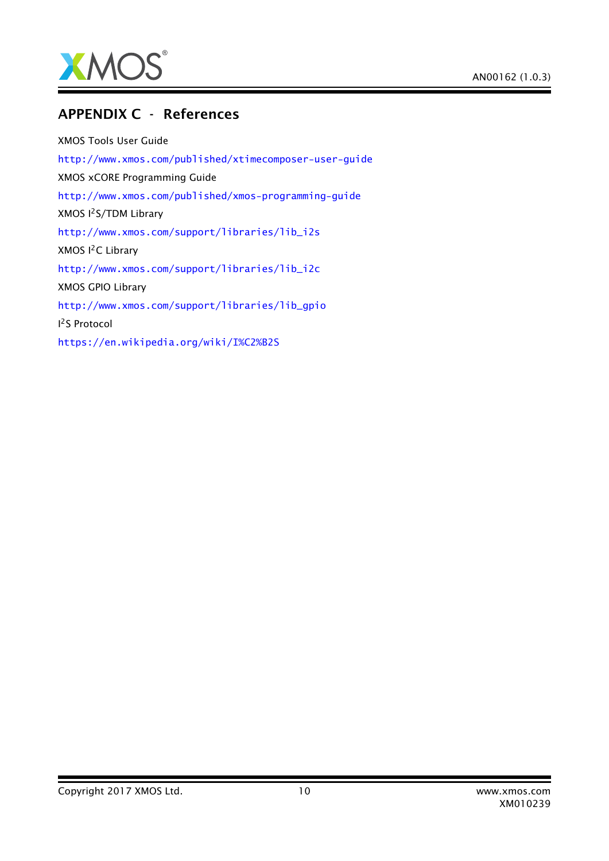

## APPENDIX C - References

XMOS Tools User Guide <http://www.xmos.com/published/xtimecomposer-user-guide> XMOS xCORE Programming Guide <http://www.xmos.com/published/xmos-programming-guide> XMOS I2S/TDM Library [http://www.xmos.com/support/libraries/lib\\_i2s](http://www.xmos.com/support/libraries/lib_i2s) XMOS I<sup>2</sup>C Library [http://www.xmos.com/support/libraries/lib\\_i2c](http://www.xmos.com/support/libraries/lib_i2c) XMOS GPIO Library [http://www.xmos.com/support/libraries/lib\\_gpio](http://www.xmos.com/support/libraries/lib_gpio) I <sup>2</sup>S Protocol <https://en.wikipedia.org/wiki/I%C2%B2S>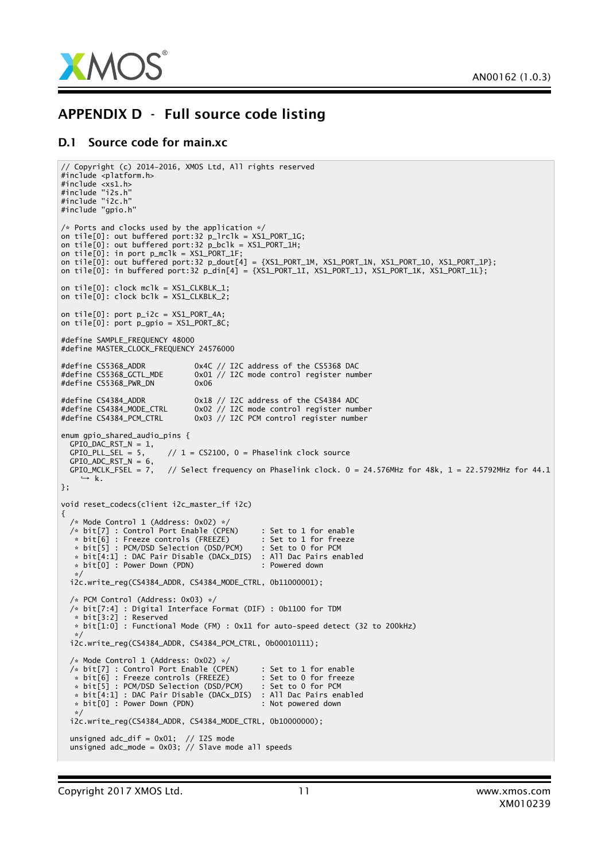

## APPENDIX D - Full source code listing

#### D.1 Source code for main.xc

```
// Copyright (c) 2014-2016, XMOS Ltd, All rights reserved
#include <platform.h>
#include <xs1.h>
#include "i2s.h"
#include "i2c.h"
#include "gpio.h"
/* Ports and clocks used by the application */
on tile[0]: out buffered port:32 p_lrclk = XS1_PORT_1G;
on tile[0]: out buffered port:32 p_bclk = XS1_PORT_1H;
on tile[0]: in port p_mclk = XS1_PORT_1F;
on tile[0]: out buffered port:32 p_dout[4] = {XS1_PORT_1M, XS1_PORT_1N, XS1_PORT_1O, XS1_PORT_1P};
on tile[0]: in buffered port:32 p_din[4] = {XSL-PORT\_11, XSL-PORT\_1J, XSL-PORT\_1K, XSL-PORT\_1L}};
on tile[0]: clock mclk = XS1_CLKBLK_1;
on tile[0]: clock bclk = XS1_CLKBLK_2;
on tile[0]: port p_i/2c = XS1_PORT_4A;
on tile[0]: port p_gpio = XS1_PORT_8C;
#define SAMPLE_FREQUENCY 48000
#define MASTER_CLOCK_FREQUENCY 24576000
#define CS5368_ADDR 0x4C // I2C address of the CS5368 DAC
#define CS5368_GCTL_MDE 0x01 // I2C mode control register number
#define CS5368_PWR_DN 0x06
#define CS4384_ADDR 0x18 // I2C address of the CS4384 ADC<br>#define CS4384_MODE_CTRL 0x02 // I2C mode control register num
#define CS4384_MODE_CTRL 0x02 // I2C mode control register number
#define CS4384_PCM_CTRL 0x03 // I2C PCM control register number
enum gpio_shared_audio_pins {
 GPIO_DAC_RST_N = 1,<br>GPIO_PLL_SEL = 5,// 1 = CS2100, 0 = Phaselink clock sourceGPIO\_ADC\_RST_N = 6,<br>GPIO\_MCLK\_FSEL = 7,
                         // Select frequency on Phaselink clock. 0 = 24.576MHz for 48k, 1 = 22.5792MHz for 44.1
    \rightarrow k.
};
void reset_codecs(client i2c_master_if i2c)
\{/* Mode Control 1 (Address: 0x02) */
  \not\nrightarrow bit[7] : Control Port Enable (CPEN) : Set to 1 for enable<br>
* bit[6] : Freeze controls (FREEZE) : Set to 1 for freeze
   * bit[6] : Freeze controls (FREEZE) : Set to 1 for freeze
   * bit[5] : PCM/DSD Selection (DSD/PCM)
   * bit[4:1] : DAC Pair Disable (DACx_DIS) : All Dac Pairs enabled<br>* bit[0] : Power Down (PDN) : Powered down
  * bit[0] : Power Down (PDN)
  */
i2c.write_reg(CS4384_ADDR, CS4384_MODE_CTRL, 0b11000001);
  /* PCM Control (Address: 0x03) */
  /* bit[7:4] : Digital Interface Format (DIF) : 0b1100 for TDM
  * bit[3:2] : Reserved
   * bit[1:0] : Functional Mode (FM) : 0x11 for auto-speed detect (32 to 200kHz)
   */
  i2c.write_reg(CS4384_ADDR, CS4384_PCM_CTRL, 0b00010111);
  /* Mode Control 1 (Address: 0x02) */
  /* bit[7] : Control Port Enable (CPEN) : Set to 1 for enable
  * bit[6] : Freeze controls (FREEZE)
   * bit[5] : PCM/DSD Selection (DSD/PCM) : Set to 0 for PCM
   * bit[4:1] : DAC Pair Disable (DACx_DIS) : All Dac Pairs enabled
  * bit[0] : Power Down (PDN) : Not powered down
  */
i2c.write_reg(CS4384_ADDR, CS4384_MODE_CTRL, 0b10000000);
  unsigned adc_dif = 0x01; // I2S mode
  unsigned adc_mode = 0x03; // Slave mode all speeds
```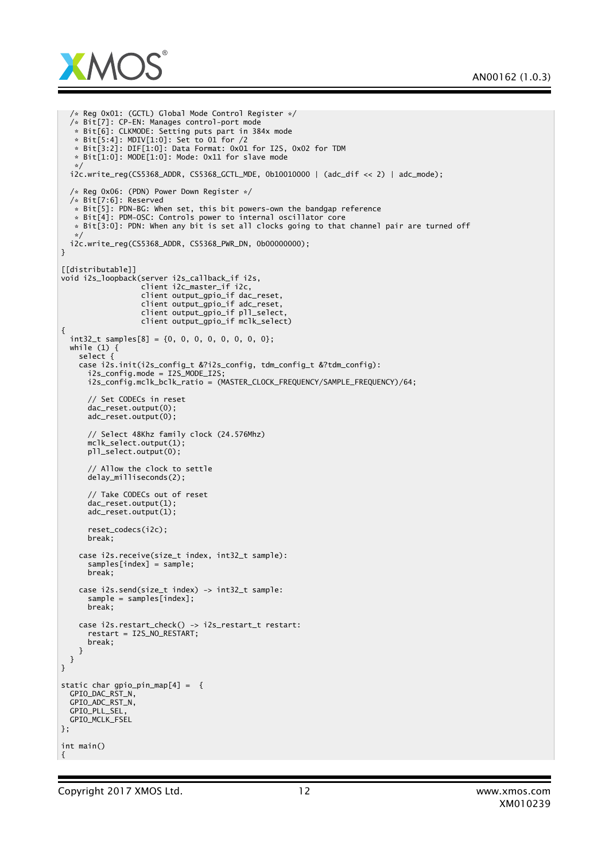

```
/* Reg 0x01: (GCTL) Global Mode Control Register */
  /* Bit[7]: CP-EN: Manages control-port mode
   * Bit[6]: CLKMODE: Setting puts part in 384x mode
   * Bit[5:4]: MDIV[1:0]: Set to 01 for /2
   * Bit[3:2]: DIF[1:0]: Data Format: 0x01 for I2S, 0x02 for TDM
   * Bit\left[1:0\right]: MODE\left[1:0\right]: Mode: 0x11 for slave mode
  */
i2c.write_reg(CS5368_ADDR, CS5368_GCTL_MDE, 0b10010000 | (adc_dif << 2) | adc_mode);
 /* Reg 0x06: (PDN) Power Down Register */
 /* Bit[7:6]: Reserved
   * Bit[5]: PDN-BG: When set, this bit powers-own the bandgap reference
   * Bit[4]: PDM-OSC: Controls power to internal oscillator core
   * Bit[3:0]: PDN: When any bit is set all clocks going to that channel pair are turned off
  */
i2c.write_reg(CS5368_ADDR, CS5368_PWR_DN, 0b00000000);
}
[[distributable]]
void i2s_loopback(server i2s_callback_if i2s,
                  client i2c_master_if i2c,
                  client output_gpio_if dac_reset,
                  client output_gpio_if adc_reset,
                  client output_gpio_if pll_select,
                  client output_gpio_if mclk_select)
{
 int32_t samples[8] = {0, 0, 0, 0, 0, 0, 0, 0};
 while (1) {
   select {
    case i2s.init(i2s_config_t &?i2s_config, tdm_config_t &?tdm_config):
      i2s_config.mode = I2S_MODE_I2S;
      i2s_config.mclk_bclk_ratio = (MASTER_CLOCK_FREQUENCY/SAMPLE_FREQUENCY)/64;
      // Set CODECs in reset
      dac_reset.output(0);
      adc_reset.output(0);
      // Select 48Khz family clock (24.576Mhz)
      mclk_select.output(1);
      pll_select.output(0);
      // Allow the clock to settle
      delay_milliseconds(2);
      // Take CODECs out of reset
      dac_reset.output(1);
      adc_reset.output(1);
      reset_codecs(i2c);
      break;
    case i2s.receive(size_t index, int32_t sample):
      samples[index] = sample;
      break;
   case i2s.send(size_t index) -> int32_t sample:
      sample = samples[index];
      break;
    case i2s.restart_check() -> i2s_restart_t restart:
      restart = I2S_NO_RESTART;
      break;
   }
 }
}
static char gpio_pin_map[4] = {
 GPIO_DAC_RST_N,
 GPIO_ADC_RST_N,
 GPIO_PLL_SEL,
 GPIO_MCLK_FSEL
};
int main()
{
```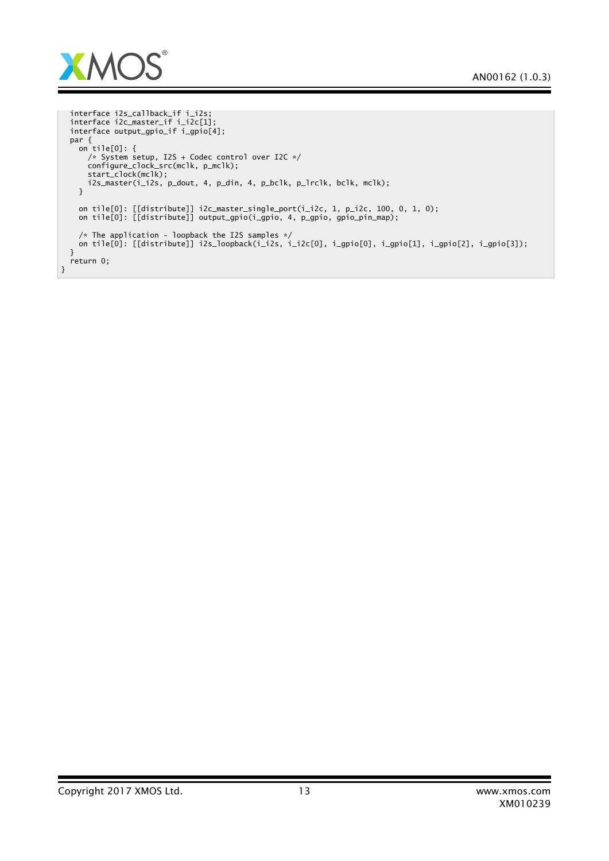

}

```
interface i2s_callback_if i_i2s;
interface i2c_master_if i_i2c[1];
interface output_gpio_if i_gpio[4];
par {
  on tile[0]: {
   /* System setup, I2S + Codec control over I2C */
    configure_clock_src(mclk, p_mclk);
    start_clock(mclk);
    i2s_master(i_i2s, p_dout, 4, p_din, 4, p_bclk, p_lrclk, bclk, mclk);
  }
  on tile[0]: [[distribute]] i2c_master_single_port(i_i2c, 1, p_i2c, 100, 0, 1, 0);
  on tile[0]: [[distribute]] output_gpio(i_gpio, 4, p_gpio, gpio_pin_map);
  /* The application - loopback the I2S samples */
on tile[0]: [[distribute]] i2s_loopback(i_i2s, i_i2c[0], i_gpio[0], i_gpio[1], i_gpio[2], i_gpio[3]);
}
return 0;
```